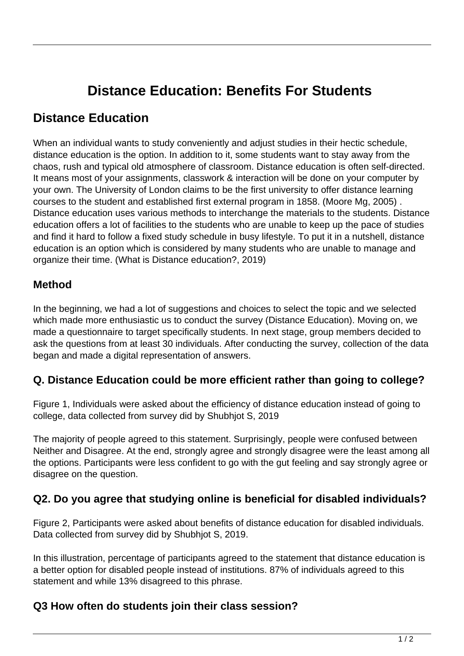# **Distance Education: Benefits For Students**

# **Distance Education**

When an individual wants to study conveniently and adjust studies in their hectic schedule, distance education is the option. In addition to it, some students want to stay away from the chaos, rush and typical old atmosphere of classroom. Distance education is often self-directed. It means most of your assignments, classwork & interaction will be done on your computer by your own. The University of London claims to be the first university to offer distance learning courses to the student and established first external program in 1858. (Moore Mg, 2005) . Distance education uses various methods to interchange the materials to the students. Distance education offers a lot of facilities to the students who are unable to keep up the pace of studies and find it hard to follow a fixed study schedule in busy lifestyle. To put it in a nutshell, distance education is an option which is considered by many students who are unable to manage and organize their time. (What is Distance education?, 2019)

#### **Method**

In the beginning, we had a lot of suggestions and choices to select the topic and we selected which made more enthusiastic us to conduct the survey (Distance Education). Moving on, we made a questionnaire to target specifically students. In next stage, group members decided to ask the questions from at least 30 individuals. After conducting the survey, collection of the data began and made a digital representation of answers.

#### **Q. Distance Education could be more efficient rather than going to college?**

Figure 1, Individuals were asked about the efficiency of distance education instead of going to college, data collected from survey did by Shubhjot S, 2019

The majority of people agreed to this statement. Surprisingly, people were confused between Neither and Disagree. At the end, strongly agree and strongly disagree were the least among all the options. Participants were less confident to go with the gut feeling and say strongly agree or disagree on the question.

### **Q2. Do you agree that studying online is beneficial for disabled individuals?**

Figure 2, Participants were asked about benefits of distance education for disabled individuals. Data collected from survey did by Shubhjot S, 2019.

In this illustration, percentage of participants agreed to the statement that distance education is a better option for disabled people instead of institutions. 87% of individuals agreed to this statement and while 13% disagreed to this phrase.

#### **Q3 How often do students join their class session?**